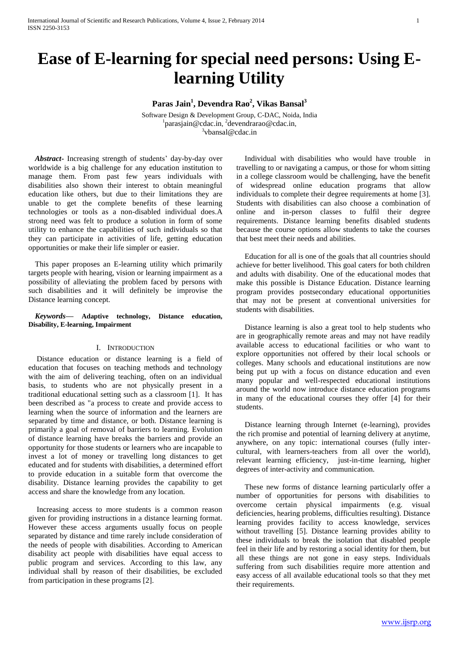# **Ease of E-learning for special need persons: Using Elearning Utility**

**Paras Jain<sup>1</sup> , Devendra Rao<sup>2</sup> , Vikas Bansal<sup>3</sup>**

Software Design & Development Group, C-DAC, Noida, India 1 [parasjain@cdac.in](mailto:parasjain@cdac.in), 2 [devendrarao@cdac.in](mailto:devendrarao@cdac.in), 3 [vbansal@cdac.in](mailto:vbansal@cdac.in)

*Abstract***-** Increasing strength of students' day-by-day over worldwide is a big challenge for any education institution to manage them. From past few years individuals with disabilities also shown their interest to obtain meaningful education like others, but due to their limitations they are unable to get the complete benefits of these learning technologies or tools as a non-disabled individual does.A strong need was felt to produce a solution in form of some utility to enhance the capabilities of such individuals so that they can participate in activities of life, getting education opportunities or make their life simpler or easier.

This paper proposes an E-learning utility which primarily targets people with hearing, vision or learning impairment as a possibility of alleviating the problem faced by persons with such disabilities and it will definitely be improvise the Distance learning concept.

#### *Keywords***— Adaptive technology, Distance education, Disability, E-learning, Impairment**

#### I. INTRODUCTION

Distance education or distance learning is a field of education that focuses on teaching methods and technology with the aim of delivering teaching, often on an individual basis, to students who are not physically present in a traditional educational setting such as a classroom [1]. It has been described as "a process to create and provide access to learning when the source of information and the learners are separated by time and distance, or both. Distance learning is primarily a goal of removal of barriers to learning. Evolution of distance learning have breaks the barriers and provide an opportunity for those students or learners who are incapable to invest a lot of money or travelling long distances to get educated and for students with disabilities, a determined effort to provide education in a suitable form that overcome the disability. Distance learning provides the capability to get access and share the knowledge from any location.

Increasing access to more students is a common reason given for providing instructions in a distance learning format. However these access arguments usually focus on people separated by distance and time rarely include consideration of the needs of people with disabilities. According to American disability act people with disabilities have equal access to public program and services. According to this law, any individual shall by reason of their disabilities, be excluded from participation in these programs [2].

Individual with disabilities who would have trouble in travelling to or navigating a campus, or those for whom sitting in a college classroom would be challenging, have the benefit of widespread online education programs that allow individuals to complete their degree requirements at home [3]. Students with disabilities can also choose a combination of online and in-person classes to fulfil their degree requirements. Distance learning benefits disabled students because the course options allow students to take the courses that best meet their needs and abilities.

Education for all is one of the goals that all countries should achieve for better livelihood. This goal caters for both children and adults with disability. One of the educational modes that make this possible is Distance Education. Distance learning program provides postsecondary educational opportunities that may not be present at conventional universities for students with disabilities.

Distance learning is also a great tool to help students who are in geographically remote areas and may not have readily available access to educational facilities or who want to explore opportunities not offered by their local schools or colleges. Many schools and educational institutions are now being put up with a focus on distance education and even many popular and well-respected educational institutions around the world now introduce distance education programs in many of the educational courses they offer [4] for their students.

Distance learning through Internet (e-learning), provides the rich promise and potential of learning delivery at anytime, anywhere, on any topic: international courses (fully intercultural, with learners-teachers from all over the world), relevant learning efficiency, just-in-time learning, higher degrees of inter-activity and communication.

These new forms of distance learning particularly offer a number of opportunities for persons with disabilities to overcome certain physical impairments (e.g. visual deficiencies, hearing problems, difficulties resulting). Distance learning provides facility to access knowledge, services without travelling [5]. Distance learning provides ability to these individuals to break the isolation that disabled people feel in their life and by restoring a social identity for them, but all these things are not gone in easy steps. Individuals suffering from such disabilities require more attention and easy access of all available educational tools so that they met their requirements.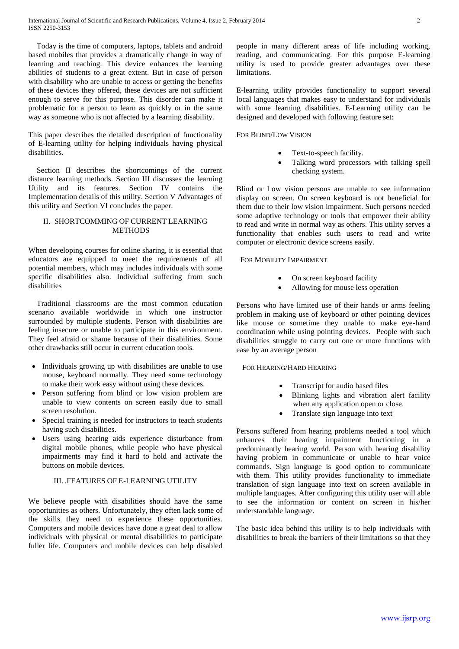Today is the time of computers, laptops, tablets and android based mobiles that provides a dramatically change in way of learning and teaching. This device enhances the learning abilities of students to a great extent. But in case of person with disability who are unable to access or getting the benefits of these devices they offered, these devices are not sufficient enough to serve for this purpose. This disorder can make it problematic for a person to learn as quickly or in the same way as someone who is not affected by a learning disability.

This paper describes the detailed description of functionality of E-learning utility for helping individuals having physical disabilities.

Section II describes the shortcomings of the current distance learning methods. Section III discusses the learning Utility and its features. Section IV contains the Implementation details of this utility. Section V Advantages of this utility and Section VI concludes the paper.

#### II. SHORTCOMMING OF CURRENT LEARNING **METHODS**

When developing courses for online sharing, it is essential that educators are equipped to meet the requirements of all potential members, which may includes individuals with some specific disabilities also. Individual suffering from such disabilities

Traditional classrooms are the most common education scenario available worldwide in which one instructor surrounded by multiple students. Person with disabilities are feeling insecure or unable to participate in this environment. They feel afraid or shame because of their disabilities. Some other drawbacks still occur in current education tools.

- Individuals growing up with disabilities are unable to use mouse, keyboard normally. They need some technology to make their work easy without using these devices.
- Person suffering from blind or low vision problem are unable to view contents on screen easily due to small screen resolution.
- Special training is needed for instructors to teach students having such disabilities.
- Users using hearing aids experience disturbance from digital mobile phones, while people who have physical impairments may find it hard to hold and activate the buttons on mobile devices.

## III. .FEATURES OF E-LEARNING UTILITY

We believe people with disabilities should have the same opportunities as others. Unfortunately, they often lack some of the skills they need to experience these opportunities. Computers and mobile devices have done a great deal to allow individuals with physical or mental disabilities to participate fuller life. Computers and mobile devices can help disabled

people in many different areas of life including working, reading, and communicating. For this purpose E-learning utility is used to provide greater advantages over these limitations.

E-learning utility provides functionality to support several local languages that makes easy to understand for individuals with some learning disabilities. E-Learning utility can be designed and developed with following feature set:

#### FOR BLIND/LOW VISION

- Text-to-speech facility.
- Talking word processors with talking spell checking system.

Blind or Low vision persons are unable to see information display on screen. On screen keyboard is not beneficial for them due to their low vision impairment. Such persons needed some adaptive technology or tools that empower their ability to read and write in normal way as others. This utility serves a functionality that enables such users to read and write computer or electronic device screens easily.

FOR MOBILITY IMPAIRMENT

- On screen keyboard facility
- Allowing for mouse less operation

Persons who have limited use of their hands or arms feeling problem in making use of keyboard or other pointing devices like mouse or sometime they unable to make eye-hand coordination while using pointing devices. People with such disabilities struggle to carry out one or more functions with ease by an average person

### FOR HEARING/HARD HEARING

- Transcript for audio based files
- Blinking lights and vibration alert facility when any application open or close.
- Translate sign language into text

Persons suffered from hearing problems needed a tool which enhances their hearing impairment functioning in a predominantly hearing world. Person with hearing disability having problem in communicate or unable to hear voice commands. Sign language is good option to communicate with them. This utility provides functionality to immediate translation of sign language into text on screen available in multiple languages. After configuring this utility user will able to see the information or content on screen in his/her understandable language.

The basic idea behind this utility is to help individuals with disabilities to break the barriers of their limitations so that they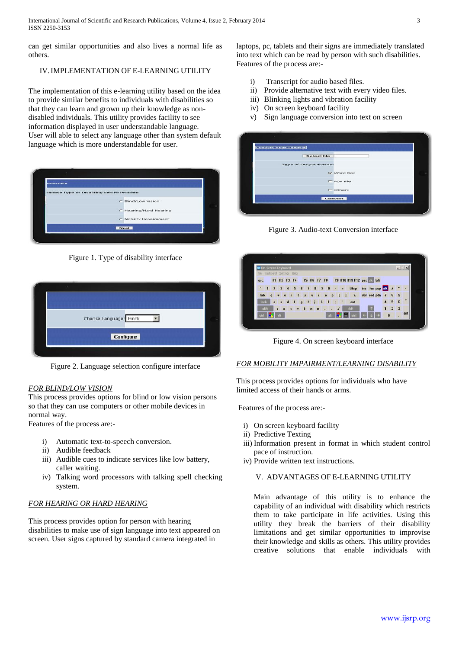can get similar opportunities and also lives a normal life as others.

# IV.IMPLEMENTATION OF E-LEARNING UTILITY

The implementation of this e-learning utility based on the idea to provide similar benefits to individuals with disabilities so that they can learn and grown up their knowledge as nondisabled individuals. This utility provides facility to see information displayed in user understandable language. User will able to select any language other than system default language which is more understandable for user.

| wetcome                                  |                        |
|------------------------------------------|------------------------|
| choose Type of Disability before Proceed |                        |
|                                          | C Blind/Low Vision     |
|                                          | C Hearing/Hard Hearing |
|                                          | C Mobility Impairement |
|                                          | Nevt                   |

Figure 1. Type of disability interface



Figure 2. Language selection configure interface

### *FOR BLIND/LOW VISION*

This process provides options for blind or low vision persons so that they can use computers or other mobile devices in normal way.

Features of the process are:-

- i) Automatic text-to-speech conversion.
- ii) Audible feedback
- iii) Audible cues to indicate services like low battery, caller waiting.
- iv) Talking word processors with talking spell checking system.

### *FOR HEARING OR HARD HEARING*

This process provides option for person with hearing disabilities to make use of sign language into text appeared on screen. User signs captured by standard camera integrated in

laptops, pc, tablets and their signs are immediately translated into text which can be read by person with such disabilities. Features of the process are:-

- i) Transcript for audio based files.
- ii) Provide alternative text with every video files.
- iii) Blinking lights and vibration facility
- iv) On screen keyboard facility
- v) Sign language conversion into text on screen

| <b>Select file</b>           |                    |  |
|------------------------------|--------------------|--|
| <b>Type of Output Format</b> |                    |  |
|                              | <b>IV word Doc</b> |  |
|                              | <b>F</b> PDF File  |  |
|                              | $\Gamma$ others    |  |

Figure 3. Audio-text Conversion interface

|                             | On-Screen Keyboard             |                         |                      |                 |             |                |          |                         |              |              |                |                        |             |                 |                |                         | $\Box$ |
|-----------------------------|--------------------------------|-------------------------|----------------------|-----------------|-------------|----------------|----------|-------------------------|--------------|--------------|----------------|------------------------|-------------|-----------------|----------------|-------------------------|--------|
| File Keyboard Settings Help |                                |                         |                      |                 |             |                |          |                         |              |              |                |                        |             |                 |                |                         |        |
| esc                         |                                | F1 F2 F3 F4             |                      |                 |             | F5 F6 F7 F8    |          |                         |              |              |                | F9 F10 F11 F12 psc brk |             |                 |                |                         |        |
| ÷                           | $\overline{2}$<br>$\mathbf{1}$ | $\overline{\mathbf{3}}$ | $\blacktriangleleft$ | $5\phantom{.0}$ | $\mathbf 6$ | $\overline{I}$ | $\bf{8}$ | $\overline{\mathbf{S}}$ | $\theta$     |              | $\blacksquare$ | bksp                   |             | ins his pup nik | $\overline{1}$ |                         |        |
| tab                         | q                              |                         |                      | т               |             | u              |          | $\ddot{\mathbf{0}}$     |              | D            |                | v                      | del end pdn | 7               | 8              | 9                       |        |
| lock                        | a                              | Ŧ                       | d                    | f               | g           | h              | ÷        | $\mathbf{r}$            | $\mathbf{I}$ | $\mathbb{Z}$ |                | ent                    |             |                 | 5              | 6                       | ٠      |
| shift                       |                                | z<br>×                  |                      |                 | b<br>Y      |                |          |                         | ٠            | 1            |                | shift                  |             |                 | $\overline{2}$ | $\overline{\mathbf{3}}$ |        |
| ctrl                        |                                |                         |                      |                 |             |                |          |                         |              |              |                |                        | m           | $\mathbf{0}$    |                |                         | ent    |

Figure 4. On screen keyboard interface

### *FOR MOBILITY IMPAIRMENT/LEARNING DISABILITY*

This process provides options for individuals who have limited access of their hands or arms.

Features of the process are:-

- i) On screen keyboard facility
- ii) Predictive Texting
- iii) Information present in format in which student control pace of instruction.
- iv) Provide written text instructions.

## V. ADVANTAGES OF E-LEARNING UTILITY

Main advantage of this utility is to enhance the capability of an individual with disability which restricts them to take participate in life activities. Using this utility they break the barriers of their disability limitations and get similar opportunities to improvise their knowledge and skills as others. This utility provides creative solutions that enable individuals with